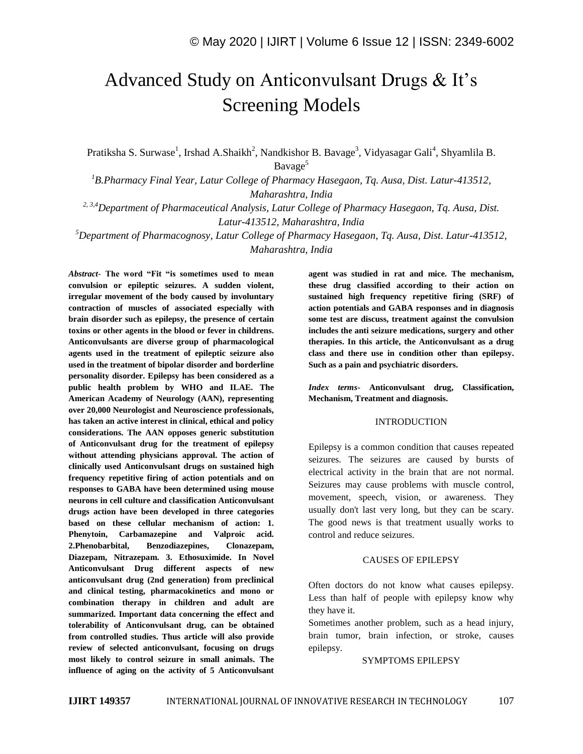# Advanced Study on Anticonvulsant Drugs & It's Screening Models

Pratiksha S. Surwase<sup>1</sup>, Irshad A.Shaikh<sup>2</sup>, Nandkishor B. Bavage<sup>3</sup>, Vidyasagar Gali<sup>4</sup>, Shyamlila B. Bavage<sup>5</sup>

*<sup>1</sup>B.Pharmacy Final Year, Latur College of Pharmacy Hasegaon, Tq. Ausa, Dist. Latur-413512, Maharashtra, India*

*2, 3,4Department of Pharmaceutical Analysis, Latur College of Pharmacy Hasegaon, Tq. Ausa, Dist. Latur-413512, Maharashtra, India*

*<sup>5</sup>Department of Pharmacognosy, Latur College of Pharmacy Hasegaon, Tq. Ausa, Dist. Latur-413512, Maharashtra, India*

*Abstract*- **The word "Fit "is sometimes used to mean convulsion or epileptic seizures. A sudden violent, irregular movement of the body caused by involuntary contraction of muscles of associated especially with brain disorder such as epilepsy, the presence of certain toxins or other agents in the blood or fever in childrens. Anticonvulsants are diverse group of pharmacological agents used in the treatment of epileptic seizure also used in the treatment of bipolar disorder and borderline personality disorder. Epilepsy has been considered as a public health problem by WHO and ILAE. The American Academy of Neurology (AAN), representing over 20,000 Neurologist and Neuroscience professionals, has taken an active interest in clinical, ethical and policy considerations. The AAN opposes generic substitution of Anticonvulsant drug for the treatment of epilepsy without attending physicians approval. The action of clinically used Anticonvulsant drugs on sustained high frequency repetitive firing of action potentials and on responses to GABA have been determined using mouse neurons in cell culture and classification Anticonvulsant drugs action have been developed in three categories based on these cellular mechanism of action: 1. Phenytoin, Carbamazepine and Valproic acid. 2.Phenobarbital, Benzodiazepines, Clonazepam, Diazepam, Nitrazepam. 3. Ethosuximide. In Novel Anticonvulsant Drug different aspects of new anticonvulsant drug (2nd generation) from preclinical and clinical testing, pharmacokinetics and mono or combination therapy in children and adult are summarized. Important data concerning the effect and tolerability of Anticonvulsant drug, can be obtained from controlled studies. Thus article will also provide review of selected anticonvulsant, focusing on drugs most likely to control seizure in small animals. The influence of aging on the activity of 5 Anticonvulsant**  **agent was studied in rat and mice. The mechanism, these drug classified according to their action on sustained high frequency repetitive firing (SRF) of action potentials and GABA responses and in diagnosis some test are discuss, treatment against the convulsion includes the anti seizure medications, surgery and other therapies. In this article, the Anticonvulsant as a drug class and there use in condition other than epilepsy. Such as a pain and psychiatric disorders.**

*Index terms***- Anticonvulsant drug, Classification, Mechanism, Treatment and diagnosis.**

#### INTRODUCTION

Epilepsy is a common condition that causes repeated seizures. The seizures are caused by bursts of electrical activity in the brain that are not normal. Seizures may cause problems with muscle control, movement, speech, vision, or awareness. They usually don't last very long, but they can be scary. The good news is that treatment usually works to control and reduce seizures.

### CAUSES OF EPILEPSY

Often doctors do not know what causes epilepsy. Less than half of people with epilepsy know why they have it.

Sometimes another problem, such as a head injury, brain tumor, brain infection, or stroke, causes epilepsy.

SYMPTOMS EPILEPSY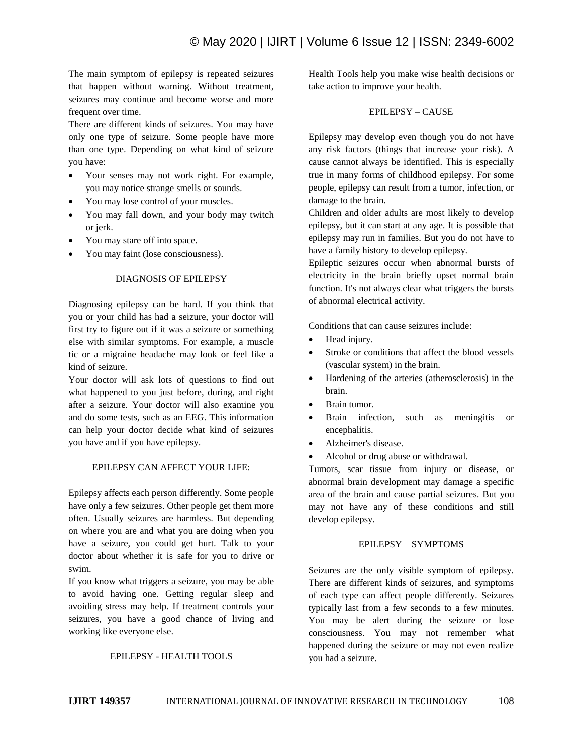The main symptom of epilepsy is repeated seizures that happen without warning. Without treatment, seizures may continue and become worse and more frequent over time.

There are different kinds of seizures. You may have only one type of seizure. Some people have more than one type. Depending on what kind of seizure you have:

- Your senses may not work right. For example, you may notice strange smells or sounds.
- You may lose control of your muscles.
- You may fall down, and your body may twitch or jerk.
- You may stare off into space.
- You may faint (lose consciousness).

### DIAGNOSIS OF EPILEPSY

Diagnosing epilepsy can be hard. If you think that you or your child has had a seizure, your doctor will first try to figure out if it was a seizure or something else with similar symptoms. For example, a muscle tic or a migraine headache may look or feel like a kind of seizure.

Your doctor will ask lots of questions to find out what happened to you just before, during, and right after a seizure. Your doctor will also examine you and do some tests, such as an EEG. This information can help your doctor decide what kind of seizures you have and if you have epilepsy.

# EPILEPSY CAN AFFECT YOUR LIFE:

Epilepsy affects each person differently. Some people have only a few seizures. Other people get them more often. Usually seizures are harmless. But depending on where you are and what you are doing when you have a seizure, you could get hurt. Talk to your doctor about whether it is safe for you to drive or swim.

If you know what triggers a seizure, you may be able to avoid having one. Getting regular sleep and avoiding stress may help. If treatment controls your seizures, you have a good chance of living and working like everyone else.

### EPILEPSY - HEALTH TOOLS

Health Tools help you make wise health decisions or take action to improve your health.

# EPILEPSY – CAUSE

Epilepsy may develop even though you do not have any risk factors (things that increase your risk). A cause cannot always be identified. This is especially true in many forms of childhood epilepsy. For some people, epilepsy can result from a tumor, infection, or damage to the brain.

Children and older adults are most likely to develop epilepsy, but it can start at any age. It is possible that epilepsy may run in families. But you do not have to have a family history to develop epilepsy.

Epileptic seizures occur when abnormal bursts of electricity in the brain briefly upset normal brain function. It's not always clear what triggers the bursts of abnormal electrical activity.

Conditions that can cause seizures include:

- Head injury.
- Stroke or conditions that affect the blood vessels (vascular system) in the brain.
- Hardening of the arteries (atherosclerosis) in the brain.
- Brain tumor.
- Brain infection, such as meningitis or encephalitis.
- Alzheimer's disease.
- Alcohol or drug abuse or withdrawal.

Tumors, scar tissue from injury or disease, or abnormal brain development may damage a specific area of the brain and cause partial seizures. But you may not have any of these conditions and still develop epilepsy.

# EPILEPSY – SYMPTOMS

Seizures are the only visible symptom of epilepsy. There are different kinds of seizures, and symptoms of each type can affect people differently. Seizures typically last from a few seconds to a few minutes. You may be alert during the seizure or lose consciousness. You may not remember what happened during the seizure or may not even realize you had a seizure.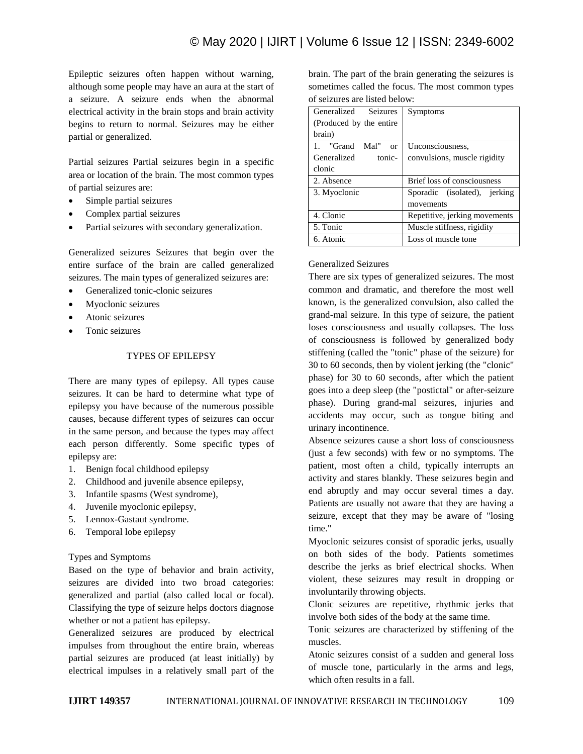Epileptic seizures often happen without warning, although some people may have an aura at the start of a seizure. A seizure ends when the abnormal electrical activity in the brain stops and brain activity begins to return to normal. Seizures may be either partial or generalized.

Partial seizures Partial seizures begin in a specific area or location of the brain. The most common types of partial seizures are:

- Simple partial seizures
- Complex partial seizures
- Partial seizures with secondary generalization.

Generalized seizures Seizures that begin over the entire surface of the brain are called generalized seizures. The main types of generalized seizures are:

- Generalized tonic-clonic seizures
- Myoclonic seizures
- Atonic seizures
- Tonic seizures

# TYPES OF EPILEPSY

There are many types of epilepsy. All types cause seizures. It can be hard to determine what type of epilepsy you have because of the numerous possible causes, because different types of seizures can occur in the same person, and because the types may affect each person differently. Some specific types of epilepsy are:

- 1. Benign focal childhood epilepsy
- 2. Childhood and juvenile absence epilepsy,
- 3. Infantile spasms (West syndrome),
- 4. Juvenile myoclonic epilepsy,
- 5. Lennox-Gastaut syndrome.
- 6. Temporal lobe epilepsy

### Types and Symptoms

Based on the type of behavior and brain activity, seizures are divided into two broad categories: generalized and partial (also called local or focal). Classifying the type of seizure helps doctors diagnose whether or not a patient has epilepsy.

Generalized seizures are produced by electrical impulses from throughout the entire brain, whereas partial seizures are produced (at least initially) by electrical impulses in a relatively small part of the brain. The part of the brain generating the seizures is sometimes called the focus. The most common types of seizures are listed below:

| <b>Seizures</b><br>Generalized | Symptoms                      |
|--------------------------------|-------------------------------|
| (Produced by the entire)       |                               |
| brain)                         |                               |
| Mal"<br>1. "Grand<br>$\alpha$  | Unconsciousness,              |
| Generalized<br>tonic-          | convulsions, muscle rigidity  |
| clonic                         |                               |
| 2. Absence                     | Brief loss of consciousness   |
| 3. Myoclonic                   | Sporadic (isolated), jerking  |
|                                | movements                     |
| 4. Clonic                      | Repetitive, jerking movements |
| 5. Tonic                       | Muscle stiffness, rigidity    |
| 6. Atonic                      | Loss of muscle tone           |

### Generalized Seizures

There are six types of generalized seizures. The most common and dramatic, and therefore the most well known, is the generalized convulsion, also called the grand-mal seizure. In this type of seizure, the patient loses consciousness and usually collapses. The loss of consciousness is followed by generalized body stiffening (called the "tonic" phase of the seizure) for 30 to 60 seconds, then by violent jerking (the "clonic" phase) for 30 to 60 seconds, after which the patient goes into a deep sleep (the "postictal" or after-seizure phase). During grand-mal seizures, injuries and accidents may occur, such as tongue biting and urinary incontinence.

Absence seizures cause a short loss of consciousness (just a few seconds) with few or no symptoms. The patient, most often a child, typically interrupts an activity and stares blankly. These seizures begin and end abruptly and may occur several times a day. Patients are usually not aware that they are having a seizure, except that they may be aware of "losing time."

Myoclonic seizures consist of sporadic jerks, usually on both sides of the body. Patients sometimes describe the jerks as brief electrical shocks. When violent, these seizures may result in dropping or involuntarily throwing objects.

Clonic seizures are repetitive, rhythmic jerks that involve both sides of the body at the same time.

Tonic seizures are characterized by stiffening of the muscles.

Atonic seizures consist of a sudden and general loss of muscle tone, particularly in the arms and legs, which often results in a fall.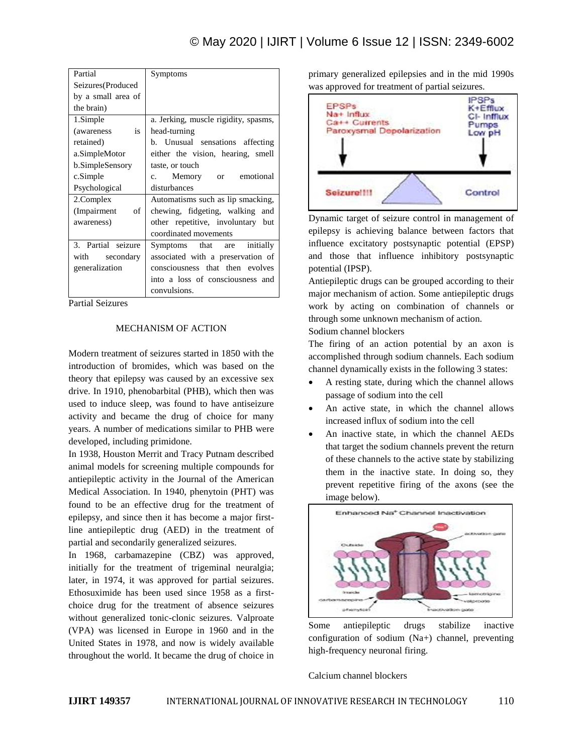| Partial            | Symptoms                             |
|--------------------|--------------------------------------|
| Seizures(Produced  |                                      |
| by a small area of |                                      |
| the brain)         |                                      |
| 1.Simple           | a. Jerking, muscle rigidity, spasms, |
| is<br>(awareness)  | head-turning                         |
| retained)          | b. Unusual sensations affecting      |
| a.SimpleMotor      | either the vision, hearing, smell    |
| b.SimpleSensory    | taste, or touch                      |
| c.Simple           | c. Memory or emotional               |
| Psychological      | disturbances                         |
| 2.Complex          | Automatisms such as lip smacking,    |
| (Impairment of     | chewing, fidgeting, walking and      |
| awareness)         | other repetitive, involuntary but    |
|                    | coordinated movements                |
| 3. Partial seizure | initially<br>Symptoms that are       |
| with secondary     | associated with a preservation of    |
| generalization     | consciousness that then evolves      |
|                    | into a loss of consciousness and     |
|                    | convulsions.                         |

Partial Seizures

### MECHANISM OF ACTION

Modern treatment of seizures started in 1850 with the introduction of bromides, which was based on the theory that epilepsy was caused by an excessive sex drive. In 1910, phenobarbital (PHB), which then was used to induce sleep, was found to have antiseizure activity and became the drug of choice for many years. A number of medications similar to PHB were developed, including primidone.

In 1938, Houston Merrit and Tracy Putnam described animal models for screening multiple compounds for antiepileptic activity in the Journal of the American Medical Association. In 1940, phenytoin (PHT) was found to be an effective drug for the treatment of epilepsy, and since then it has become a major firstline antiepileptic drug (AED) in the treatment of partial and secondarily generalized seizures.

In 1968, carbamazepine (CBZ) was approved, initially for the treatment of trigeminal neuralgia; later, in 1974, it was approved for partial seizures. Ethosuximide has been used since 1958 as a firstchoice drug for the treatment of absence seizures without generalized tonic-clonic seizures. Valproate (VPA) was licensed in Europe in 1960 and in the United States in 1978, and now is widely available throughout the world. It became the drug of choice in

primary generalized epilepsies and in the mid 1990s was approved for treatment of partial seizures.



Dynamic target of seizure control in management of epilepsy is achieving balance between factors that influence excitatory postsynaptic potential (EPSP) and those that influence inhibitory postsynaptic potential (IPSP).

Antiepileptic drugs can be grouped according to their major mechanism of action. Some antiepileptic drugs work by acting on combination of channels or through some unknown mechanism of action.

Sodium channel blockers

The firing of an action potential by an axon is accomplished through sodium channels. Each sodium channel dynamically exists in the following 3 states:

- A resting state, during which the channel allows passage of sodium into the cell
- An active state, in which the channel allows increased influx of sodium into the cell
- An inactive state, in which the channel AEDs that target the sodium channels prevent the return of these channels to the active state by stabilizing them in the inactive state. In doing so, they prevent repetitive firing of the axons (see the image below).



Some antiepileptic drugs stabilize inactive configuration of sodium (Na+) channel, preventing high-frequency neuronal firing.

Calcium channel blockers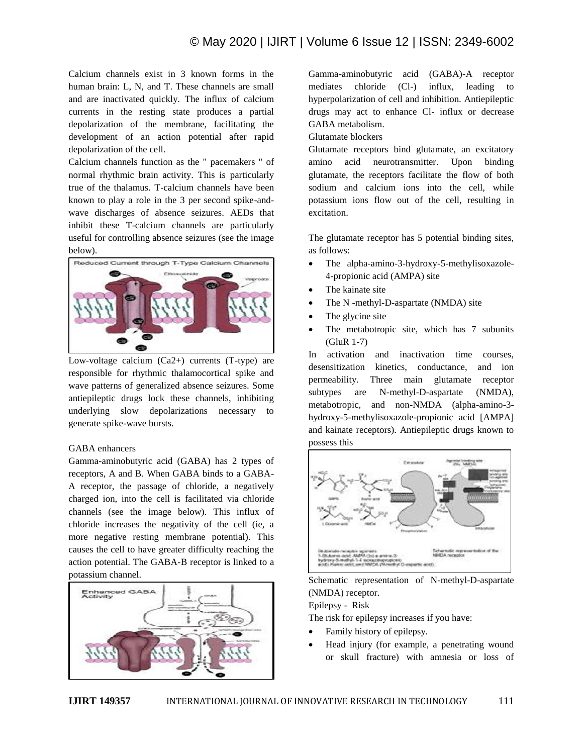# © May 2020 | IJIRT | Volume 6 Issue 12 | ISSN: 2349-6002

Calcium channels exist in 3 known forms in the human brain: L, N, and T. These channels are small and are inactivated quickly. The influx of calcium currents in the resting state produces a partial depolarization of the membrane, facilitating the development of an action potential after rapid depolarization of the cell.

Calcium channels function as the " pacemakers " of normal rhythmic brain activity. This is particularly true of the thalamus. T-calcium channels have been known to play a role in the 3 per second spike-andwave discharges of absence seizures. AEDs that inhibit these T-calcium channels are particularly useful for controlling absence seizures (see the image below).



Low-voltage calcium (Ca2+) currents (T-type) are responsible for rhythmic thalamocortical spike and wave patterns of generalized absence seizures. Some antiepileptic drugs lock these channels, inhibiting underlying slow depolarizations necessary to generate spike-wave bursts.

### GABA enhancers

Gamma-aminobutyric acid (GABA) has 2 types of receptors, A and B. When GABA binds to a GABA-A receptor, the passage of chloride, a negatively charged ion, into the cell is facilitated via chloride channels (see the image below). This influx of chloride increases the negativity of the cell (ie, a more negative resting membrane potential). This causes the cell to have greater difficulty reaching the action potential. The GABA-B receptor is linked to a potassium channel.



Gamma-aminobutyric acid (GABA)-A receptor mediates chloride (Cl-) influx, leading to hyperpolarization of cell and inhibition. Antiepileptic drugs may act to enhance Cl- influx or decrease GABA metabolism.

### Glutamate blockers

Glutamate receptors bind glutamate, an excitatory amino acid neurotransmitter. Upon binding glutamate, the receptors facilitate the flow of both sodium and calcium ions into the cell, while potassium ions flow out of the cell, resulting in excitation.

The glutamate receptor has 5 potential binding sites, as follows:

- The alpha-amino-3-hydroxy-5-methylisoxazole-4-propionic acid (AMPA) site
- The kainate site
- The N -methyl-D-aspartate (NMDA) site
- The glycine site
- The metabotropic site, which has 7 subunits (GluR 1-7)

In activation and inactivation time courses, desensitization kinetics, conductance, and ion permeability. Three main glutamate receptor subtypes are N-methyl-D-aspartate (NMDA), metabotropic, and non-NMDA (alpha-amino-3 hydroxy-5-methylisoxazole-propionic acid [AMPA] and kainate receptors). Antiepileptic drugs known to possess this



Schematic representation of N-methyl-D-aspartate (NMDA) receptor. Epilepsy - Risk

The risk for epilepsy increases if you have:

- Family history of epilepsy.
- Head injury (for example, a penetrating wound or skull fracture) with amnesia or loss of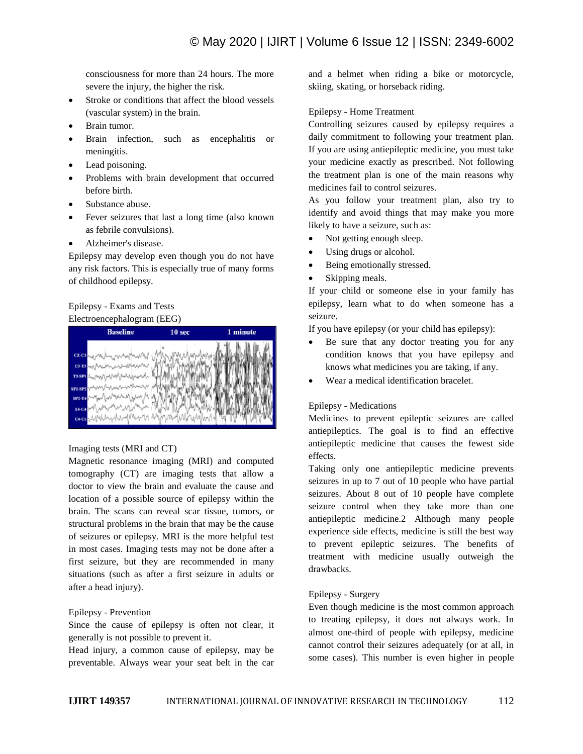consciousness for more than 24 hours. The more severe the injury, the higher the risk.

- Stroke or conditions that affect the blood vessels (vascular system) in the brain.
- Brain tumor.
- Brain infection, such as encephalitis or meningitis.
- Lead poisoning.
- Problems with brain development that occurred before birth.
- Substance abuse.
- Fever seizures that last a long time (also known as febrile convulsions).
- Alzheimer's disease.

Epilepsy may develop even though you do not have any risk factors. This is especially true of many forms of childhood epilepsy.

# Epilepsy - Exams and Tests Electroencephalogram (EEG)



### Imaging tests (MRI and CT)

Magnetic resonance imaging (MRI) and computed tomography (CT) are imaging tests that allow a doctor to view the brain and evaluate the cause and location of a possible source of epilepsy within the brain. The scans can reveal scar tissue, tumors, or structural problems in the brain that may be the cause of seizures or epilepsy. MRI is the more helpful test in most cases. Imaging tests may not be done after a first seizure, but they are recommended in many situations (such as after a first seizure in adults or after a head injury).

### Epilepsy - Prevention

Since the cause of epilepsy is often not clear, it generally is not possible to prevent it.

Head injury, a common cause of epilepsy, may be preventable. Always wear your seat belt in the car and a helmet when riding a bike or motorcycle, skiing, skating, or horseback riding.

### Epilepsy - Home Treatment

Controlling seizures caused by epilepsy requires a daily commitment to following your treatment plan. If you are using antiepileptic medicine, you must take your medicine exactly as prescribed. Not following the treatment plan is one of the main reasons why medicines fail to control seizures.

As you follow your treatment plan, also try to identify and avoid things that may make you more likely to have a seizure, such as:

- Not getting enough sleep.
- Using drugs or alcohol.
- Being emotionally stressed.
- Skipping meals.

If your child or someone else in your family has epilepsy, learn what to do when someone has a seizure.

If you have epilepsy (or your child has epilepsy):

- Be sure that any doctor treating you for any condition knows that you have epilepsy and knows what medicines you are taking, if any.
- Wear a medical identification bracelet.

# Epilepsy - Medications

Medicines to prevent epileptic seizures are called antiepileptics. The goal is to find an effective antiepileptic medicine that causes the fewest side effects.

Taking only one antiepileptic medicine prevents seizures in up to 7 out of 10 people who have partial seizures. About 8 out of 10 people have complete seizure control when they take more than one antiepileptic medicine.2 Although many people experience side effects, medicine is still the best way to prevent epileptic seizures. The benefits of treatment with medicine usually outweigh the drawbacks.

# Epilepsy - Surgery

Even though medicine is the most common approach to treating epilepsy, it does not always work. In almost one-third of people with epilepsy, medicine cannot control their seizures adequately (or at all, in some cases). This number is even higher in people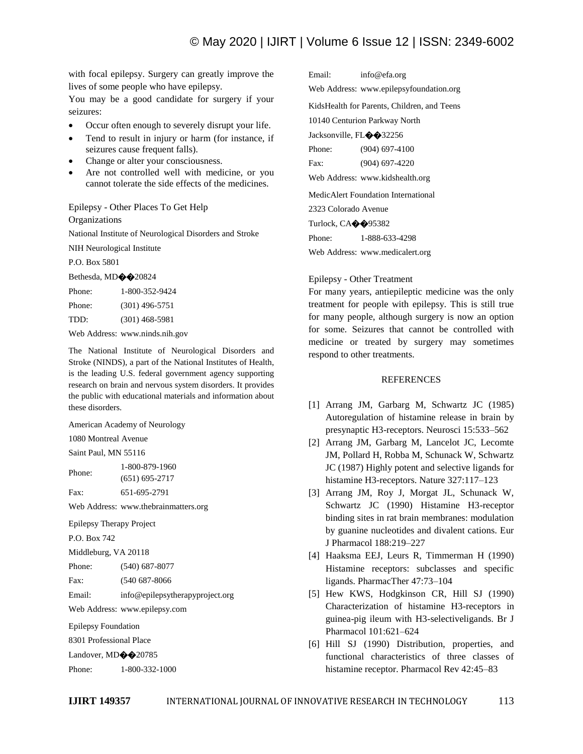with focal epilepsy. Surgery can greatly improve the lives of some people who have epilepsy.

You may be a good candidate for surgery if your seizures:

- Occur often enough to severely disrupt your life.
- Tend to result in injury or harm (for instance, if seizures cause frequent falls).
- Change or alter your consciousness.
- Are not controlled well with medicine, or you cannot tolerate the side effects of the medicines.

Epilepsy - Other Places To Get Help

**Organizations** 

National Institute of Neurological Disorders and Stroke

NIH Neurological Institute

P.O. Box 5801

Bethesda, MD��20824

| 1-800-352-9424   |
|------------------|
| $(301)$ 496-5751 |
| $(301)$ 468-5981 |
|                  |

Web Address: www.ninds.nih.gov

The National Institute of Neurological Disorders and Stroke (NINDS), a part of the National Institutes of Health, is the leading U.S. federal government agency supporting research on brain and nervous system disorders. It provides the public with educational materials and information about these disorders.

American Academy of Neurology

1080 Montreal Avenue

Saint Paul, MN 55116

Phone: 1-800-879-1960 (651) 695-2717

Fax: 651-695-2791

Web Address: www.thebrainmatters.org

Epilepsy Therapy Project

P.O. Box 742

Middleburg, VA 20118

Phone: (540) 687-8077

Fax: (540 687-8066

Email: info@epilepsytherapyproject.org

Web Address: www.epilepsy.com

Epilepsy Foundation

8301 Professional Place

Landover, MD $\bigcirc$  20785

Phone: 1-800-332-1000

Email: info@efa.org Web Address: www.epilepsyfoundation.org KidsHealth for Parents, Children, and Teens 10140 Centurion Parkway North Jacksonville, FL $\diamond$  32256 Phone: (904) 697-4100 Fax: (904) 697-4220 Web Address: www.kidshealth.org MedicAlert Foundation International 2323 Colorado Avenue Turlock, CA $\diamond$  95382 Phone: 1-888-633-4298

Web Address: www.medicalert.org

### Epilepsy - Other Treatment

For many years, antiepileptic medicine was the only treatment for people with epilepsy. This is still true for many people, although surgery is now an option for some. Seizures that cannot be controlled with medicine or treated by surgery may sometimes respond to other treatments.

### REFERENCES

- [1] Arrang JM, Garbarg M, Schwartz JC (1985) Autoregulation of histamine release in brain by presynaptic H3-receptors. Neurosci 15:533–562
- [2] Arrang JM, Garbarg M, Lancelot JC, Lecomte JM, Pollard H, Robba M, Schunack W, Schwartz JC (1987) Highly potent and selective ligands for histamine H3-receptors. Nature 327:117–123
- [3] Arrang JM, Roy J, Morgat JL, Schunack W, Schwartz JC (1990) Histamine H3-receptor binding sites in rat brain membranes: modulation by guanine nucleotides and divalent cations. Eur J Pharmacol 188:219–227
- [4] Haaksma EEJ, Leurs R, Timmerman H (1990) Histamine receptors: subclasses and specific ligands. PharmacTher 47:73–104
- [5] Hew KWS, Hodgkinson CR, Hill SJ (1990) Characterization of histamine H3-receptors in guinea-pig ileum with H3-selectiveligands. Br J Pharmacol 101:621–624
- [6] Hill SJ (1990) Distribution, properties, and functional characteristics of three classes of histamine receptor. Pharmacol Rev 42:45–83